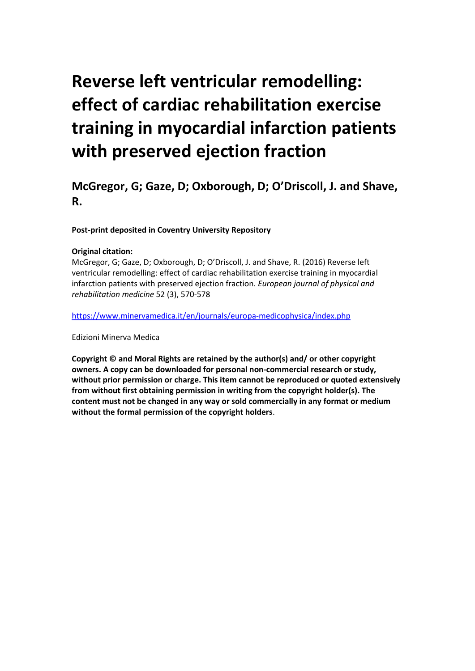# **Reverse left ventricular remodelling: effect of cardiac rehabilitation exercise training in myocardial infarction patients with preserved ejection fraction**

### **McGregor, G; Gaze, D; Oxborough, D; O'Driscoll, J. and Shave, R.**

**Post-print deposited in Coventry University Repository**

#### **Original citation:**

McGregor, G; Gaze, D; Oxborough, D; O'Driscoll, J. and Shave, R. (2016) Reverse left ventricular remodelling: effect of cardiac rehabilitation exercise training in myocardial infarction patients with preserved ejection fraction. *European journal of physical and rehabilitation medicine* 52 (3), 570-578

<https://www.minervamedica.it/en/journals/europa-medicophysica/index.php>

Edizioni Minerva Medica

**Copyright © and Moral Rights are retained by the author(s) and/ or other copyright owners. A copy can be downloaded for personal non-commercial research or study, without prior permission or charge. This item cannot be reproduced or quoted extensively from without first obtaining permission in writing from the copyright holder(s). The content must not be changed in any way or sold commercially in any format or medium without the formal permission of the copyright holders**.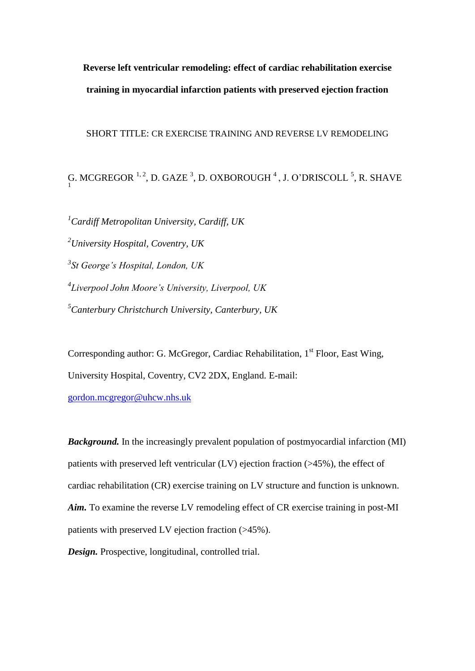## **Reverse left ventricular remodeling: effect of cardiac rehabilitation exercise training in myocardial infarction patients with preserved ejection fraction**

#### SHORT TITLE: CR EXERCISE TRAINING AND REVERSE LV REMODELING

G. MCGREGOR <sup>1, 2</sup>, D. GAZE <sup>3</sup>, D. OXBOROUGH <sup>4</sup>, J. O'DRISCOLL <sup>5</sup>, R. SHAVE

*Cardiff Metropolitan University, Cardiff, UK University Hospital, Coventry, UK St George's Hospital, London, UK Liverpool John Moore's University, Liverpool, UK Canterbury Christchurch University, Canterbury, UK*

Corresponding author: G. McGregor, Cardiac Rehabilitation,  $1<sup>st</sup>$  Floor, East Wing, University Hospital, Coventry, CV2 2DX, England. E-mail:

[gordon.mcgregor@uhcw.nhs.uk](mailto:gordon.mcgregor@uhcw.nhs.uk)

*Background.* In the increasingly prevalent population of postmyocardial infarction (MI) patients with preserved left ventricular (LV) ejection fraction (>45%), the effect of cardiac rehabilitation (CR) exercise training on LV structure and function is unknown. *Aim.* To examine the reverse LV remodeling effect of CR exercise training in post-MI patients with preserved LV ejection fraction (>45%).

*Design.* Prospective, longitudinal, controlled trial.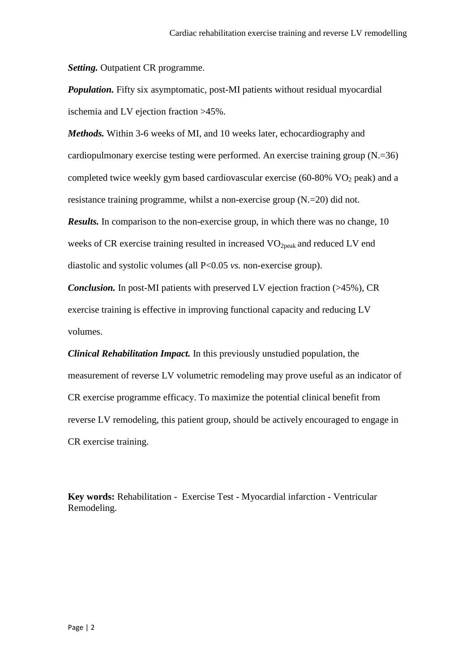*Setting.* Outpatient CR programme.

*Population.* Fifty six asymptomatic, post-MI patients without residual myocardial ischemia and LV ejection fraction >45%.

*Methods.* Within 3-6 weeks of MI, and 10 weeks later, echocardiography and cardiopulmonary exercise testing were performed. An exercise training group (N.=36) completed twice weekly gym based cardiovascular exercise (60-80%  $VO<sub>2</sub>$  peak) and a resistance training programme, whilst a non-exercise group (N.=20) did not. *Results.* In comparison to the non-exercise group, in which there was no change, 10

weeks of CR exercise training resulted in increased  $VO<sub>2peak</sub>$  and reduced LV end diastolic and systolic volumes (all P<0.05 *vs.* non-exercise group).

*Conclusion.* In post-MI patients with preserved LV ejection fraction (>45%), CR exercise training is effective in improving functional capacity and reducing LV volumes.

*Clinical Rehabilitation Impact.* In this previously unstudied population, the measurement of reverse LV volumetric remodeling may prove useful as an indicator of CR exercise programme efficacy. To maximize the potential clinical benefit from reverse LV remodeling, this patient group, should be actively encouraged to engage in CR exercise training.

**Key words:** Rehabilitation - [Exercise](http://www.ncbi.nlm.nih.gov/mesh/68005080) Test - Myocardial infarction - Ventricular Remodeling.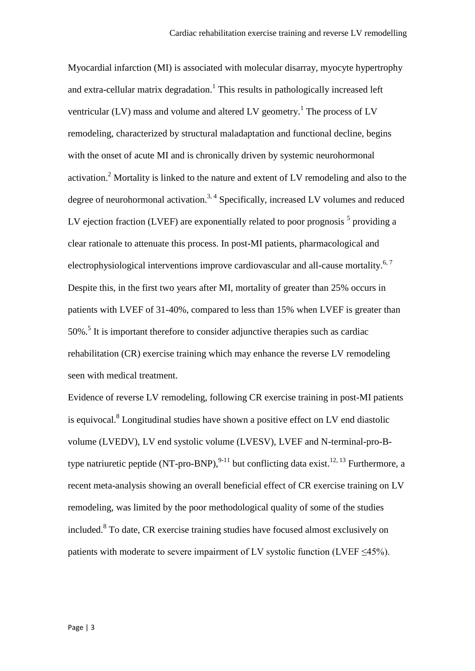Myocardial infarction (MI) is associated with molecular disarray, myocyte hypertrophy and extra-cellular matrix degradation.<sup>1</sup> This results in pathologically increased left ventricular (LV) mass and volume and altered LV geometry.<sup>1</sup> The process of LV remodeling, characterized by structural maladaptation and functional decline, begins with the onset of acute MI and is chronically driven by systemic neurohormonal activation.<sup>2</sup> Mortality is linked to the nature and extent of LV remodeling and also to the degree of neurohormonal activation.<sup>3, 4</sup> Specifically, increased LV volumes and reduced LV ejection fraction (LVEF) are exponentially related to poor prognosis  $<sup>5</sup>$  providing a</sup> clear rationale to attenuate this process. In post-MI patients, pharmacological and electrophysiological interventions improve cardiovascular and all-cause mortality.<sup>6,7</sup> Despite this, in the first two years after MI, mortality of greater than 25% occurs in patients with LVEF of 31-40%, compared to less than 15% when LVEF is greater than 50%.<sup>5</sup> It is important therefore to consider adjunctive therapies such as cardiac rehabilitation (CR) exercise training which may enhance the reverse LV remodeling seen with medical treatment.

Evidence of reverse LV remodeling, following CR exercise training in post-MI patients is equivocal. 8 Longitudinal studies have shown a positive effect on LV end diastolic volume (LVEDV), LV end systolic volume (LVESV), LVEF and N-terminal-pro-Btype natriuretic peptide (NT-pro-BNP),  $^{9-11}$  but conflicting data exist.<sup>12, 13</sup> Furthermore, a recent meta-analysis showing an overall beneficial effect of CR exercise training on LV remodeling, was limited by the poor methodological quality of some of the studies included. 8 To date, CR exercise training studies have focused almost exclusively on patients with moderate to severe impairment of LV systolic function (LVEF  $\leq$ 45%).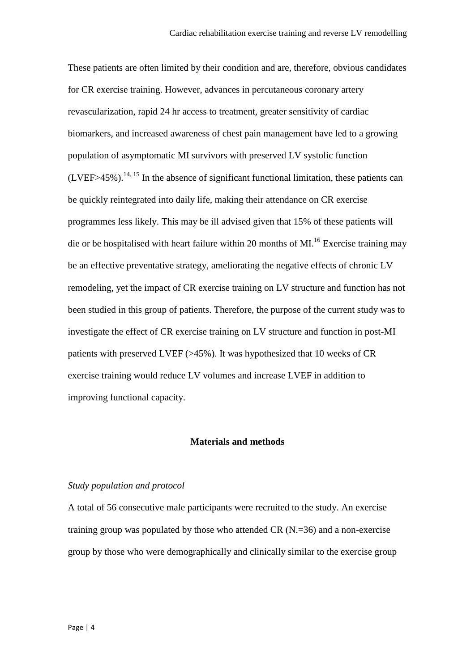These patients are often limited by their condition and are, therefore, obvious candidates for CR exercise training. However, advances in percutaneous coronary artery revascularization, rapid 24 hr access to treatment, greater sensitivity of cardiac biomarkers, and increased awareness of chest pain management have led to a growing population of asymptomatic MI survivors with preserved LV systolic function  $(LVEF > 45\%)$ .<sup>14, 15</sup> In the absence of significant functional limitation, these patients can be quickly reintegrated into daily life, making their attendance on CR exercise programmes less likely. This may be ill advised given that 15% of these patients will die or be hospitalised with heart failure within 20 months of MI.<sup>16</sup> Exercise training may be an effective preventative strategy, ameliorating the negative effects of chronic LV remodeling, yet the impact of CR exercise training on LV structure and function has not been studied in this group of patients. Therefore, the purpose of the current study was to investigate the effect of CR exercise training on LV structure and function in post-MI patients with preserved LVEF (>45%). It was hypothesized that 10 weeks of CR exercise training would reduce LV volumes and increase LVEF in addition to improving functional capacity.

#### **Materials and methods**

#### *Study population and protocol*

A total of 56 consecutive male participants were recruited to the study. An exercise training group was populated by those who attended CR (N.=36) and a non-exercise group by those who were demographically and clinically similar to the exercise group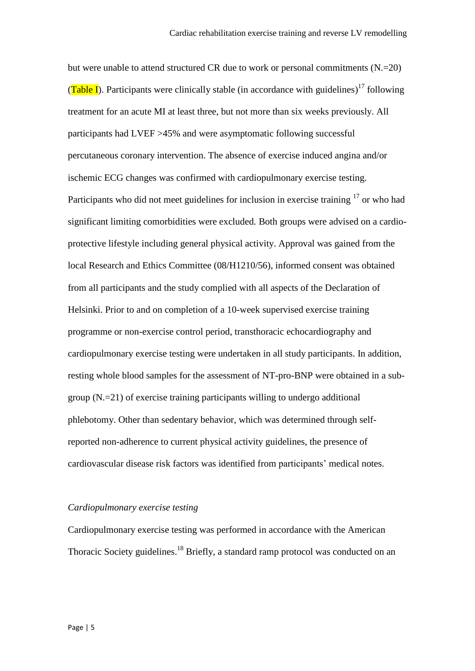but were unable to attend structured CR due to work or personal commitments  $(N=20)$ (Table I). Participants were clinically stable (in accordance with guidelines)<sup>17</sup> following treatment for an acute MI at least three, but not more than six weeks previously. All participants had LVEF >45% and were asymptomatic following successful percutaneous coronary intervention. The absence of exercise induced angina and/or ischemic ECG changes was confirmed with cardiopulmonary exercise testing. Participants who did not meet guidelines for inclusion in exercise training  $17$  or who had significant limiting comorbidities were excluded. Both groups were advised on a cardioprotective lifestyle including general physical activity. Approval was gained from the local Research and Ethics Committee (08/H1210/56), informed consent was obtained from all participants and the study complied with all aspects of the Declaration of Helsinki. Prior to and on completion of a 10-week supervised exercise training programme or non-exercise control period, transthoracic echocardiography and cardiopulmonary exercise testing were undertaken in all study participants. In addition, resting whole blood samples for the assessment of NT-pro-BNP were obtained in a subgroup (N.=21) of exercise training participants willing to undergo additional phlebotomy. Other than sedentary behavior, which was determined through selfreported non-adherence to current physical activity guidelines, the presence of cardiovascular disease risk factors was identified from participants' medical notes.

#### *Cardiopulmonary exercise testing*

Cardiopulmonary exercise testing was performed in accordance with the American Thoracic Society guidelines.<sup>18</sup> Briefly, a standard ramp protocol was conducted on an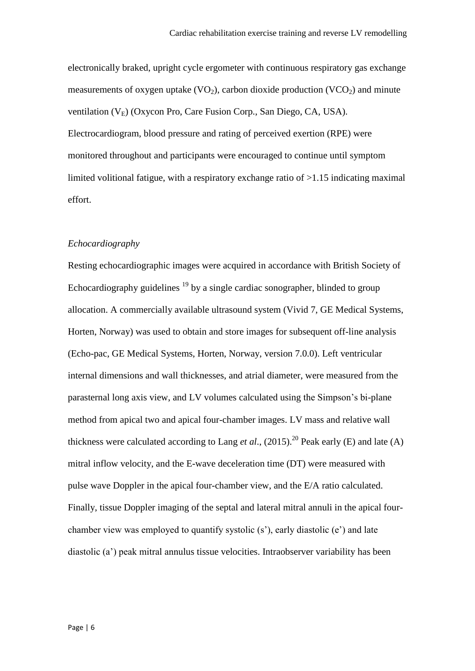electronically braked, upright cycle ergometer with continuous respiratory gas exchange measurements of oxygen uptake  $(VO_2)$ , carbon dioxide production  $(VCO_2)$  and minute ventilation  $(V_E)$  (Oxycon Pro, Care Fusion Corp., San Diego, CA, USA). Electrocardiogram, blood pressure and rating of perceived exertion (RPE) were monitored throughout and participants were encouraged to continue until symptom limited volitional fatigue, with a respiratory exchange ratio of >1.15 indicating maximal effort.

#### *Echocardiography*

Resting echocardiographic images were acquired in accordance with British Society of Echocardiography guidelines  $19$  by a single cardiac sonographer, blinded to group allocation. A commercially available ultrasound system (Vivid 7, GE Medical Systems, Horten, Norway) was used to obtain and store images for subsequent off-line analysis (Echo-pac, GE Medical Systems, Horten, Norway, version 7.0.0). Left ventricular internal dimensions and wall thicknesses, and atrial diameter, were measured from the parasternal long axis view, and LV volumes calculated using the Simpson's bi-plane method from apical two and apical four-chamber images. LV mass and relative wall thickness were calculated according to Lang *et al.*,  $(2015)$ .<sup>20</sup> Peak early (E) and late (A) mitral inflow velocity, and the E-wave deceleration time (DT) were measured with pulse wave Doppler in the apical four-chamber view, and the E/A ratio calculated. Finally, tissue Doppler imaging of the septal and lateral mitral annuli in the apical fourchamber view was employed to quantify systolic (s'), early diastolic (e') and late diastolic (a') peak mitral annulus tissue velocities. Intraobserver variability has been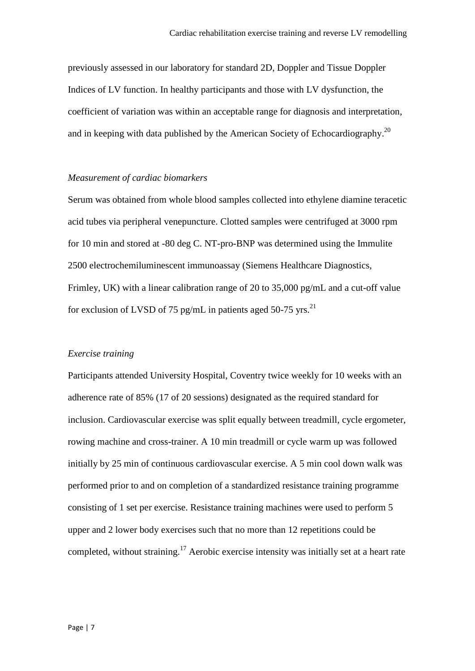previously assessed in our laboratory for standard 2D, Doppler and Tissue Doppler Indices of LV function. In healthy participants and those with LV dysfunction, the coefficient of variation was within an acceptable range for diagnosis and interpretation, and in keeping with data published by the American Society of Echocardiography.<sup>20</sup>

#### *Measurement of cardiac biomarkers*

Serum was obtained from whole blood samples collected into ethylene diamine teracetic acid tubes via peripheral venepuncture. Clotted samples were centrifuged at 3000 rpm for 10 min and stored at -80 deg C. NT-pro-BNP was determined using the Immulite 2500 electrochemiluminescent immunoassay (Siemens Healthcare Diagnostics, Frimley, UK) with a linear calibration range of 20 to 35,000 pg/mL and a cut-off value for exclusion of LVSD of 75 pg/mL in patients aged 50-75 yrs.<sup>21</sup>

#### *Exercise training*

Participants attended University Hospital, Coventry twice weekly for 10 weeks with an adherence rate of 85% (17 of 20 sessions) designated as the required standard for inclusion. Cardiovascular exercise was split equally between treadmill, cycle ergometer, rowing machine and cross-trainer. A 10 min treadmill or cycle warm up was followed initially by 25 min of continuous cardiovascular exercise. A 5 min cool down walk was performed prior to and on completion of a standardized resistance training programme consisting of 1 set per exercise. Resistance training machines were used to perform 5 upper and 2 lower body exercises such that no more than 12 repetitions could be completed, without straining.<sup>17</sup> Aerobic exercise intensity was initially set at a heart rate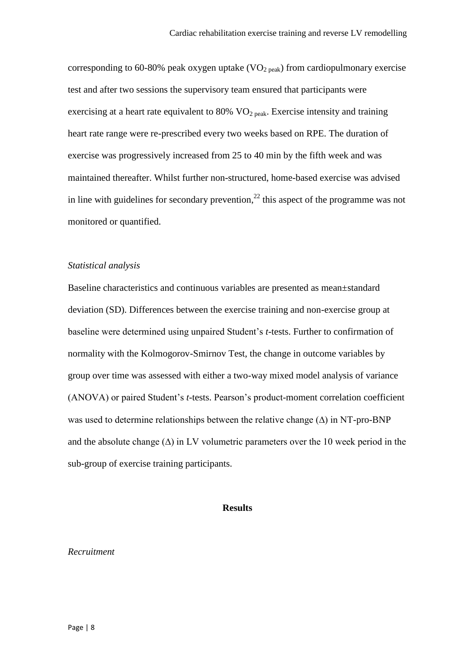corresponding to 60-80% peak oxygen uptake  $(VO<sub>2 peak</sub>)$  from cardiopulmonary exercise test and after two sessions the supervisory team ensured that participants were exercising at a heart rate equivalent to  $80\%$  VO<sub>2 peak</sub>. Exercise intensity and training heart rate range were re-prescribed every two weeks based on RPE. The duration of exercise was progressively increased from 25 to 40 min by the fifth week and was maintained thereafter. Whilst further non-structured, home-based exercise was advised in line with guidelines for secondary prevention, $^{22}$  this aspect of the programme was not monitored or quantified.

#### *Statistical analysis*

Baseline characteristics and continuous variables are presented as mean±standard deviation (SD). Differences between the exercise training and non-exercise group at baseline were determined using unpaired Student's *t*-tests. Further to confirmation of normality with the Kolmogorov-Smirnov Test, the change in outcome variables by group over time was assessed with either a two-way mixed model analysis of variance (ANOVA) or paired Student's *t*-tests. Pearson's product-moment correlation coefficient was used to determine relationships between the relative change  $(\Delta)$  in NT-pro-BNP and the absolute change  $(\Delta)$  in LV volumetric parameters over the 10 week period in the sub-group of exercise training participants.

#### **Results**

#### *Recruitment*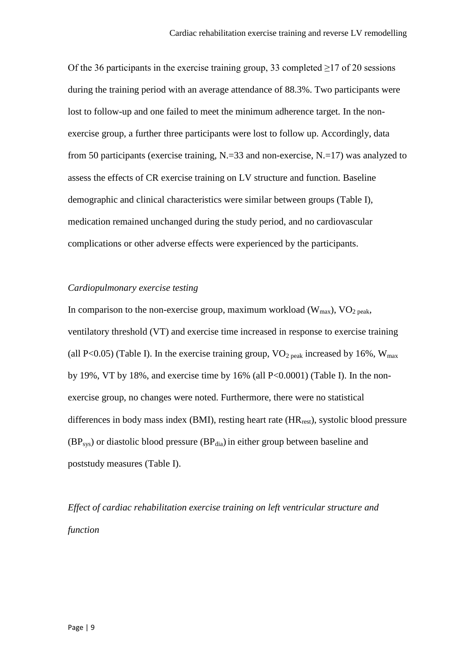Of the 36 participants in the exercise training group, 33 completed  $\ge$ 17 of 20 sessions during the training period with an average attendance of 88.3%. Two participants were lost to follow-up and one failed to meet the minimum adherence target. In the nonexercise group, a further three participants were lost to follow up. Accordingly, data from 50 participants (exercise training, N.=33 and non-exercise, N.=17) was analyzed to assess the effects of CR exercise training on LV structure and function. Baseline demographic and clinical characteristics were similar between groups (Table I), medication remained unchanged during the study period, and no cardiovascular complications or other adverse effects were experienced by the participants.

#### *Cardiopulmonary exercise testing*

In comparison to the non-exercise group, maximum workload  $(W_{max})$ ,  $VO_{2\text{ peak}}$ , ventilatory threshold (VT) and exercise time increased in response to exercise training (all P<0.05) (Table I). In the exercise training group,  $VO<sub>2 peak</sub>$ </sub> increased by 16%,  $W<sub>max</sub>$ by 19%, VT by 18%, and exercise time by 16% (all P<0.0001) (Table I). In the nonexercise group, no changes were noted. Furthermore, there were no statistical differences in body mass index (BMI), resting heart rate  $(HR_{rest})$ , systolic blood pressure  $(BP_{sys})$  or diastolic blood pressure  $(BP_{dia})$  in either group between baseline and poststudy measures (Table I).

*Effect of cardiac rehabilitation exercise training on left ventricular structure and function*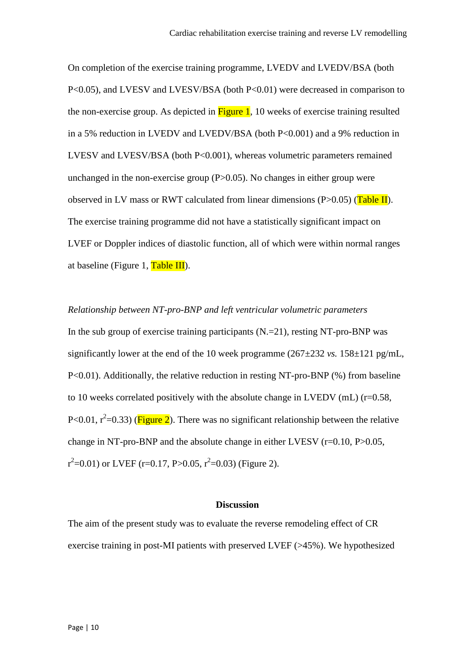On completion of the exercise training programme, LVEDV and LVEDV/BSA (both P<0.05), and LVESV and LVESV/BSA (both P<0.01) were decreased in comparison to the non-exercise group. As depicted in  $Figure 1$ , 10 weeks of exercise training resulted in a 5% reduction in LVEDV and LVEDV/BSA (both P<0.001) and a 9% reduction in LVESV and LVESV/BSA (both P<0.001), whereas volumetric parameters remained unchanged in the non-exercise group  $(P>0.05)$ . No changes in either group were observed in LV mass or RWT calculated from linear dimensions  $(P>0.05)$  (Table II). The exercise training programme did not have a statistically significant impact on LVEF or Doppler indices of diastolic function, all of which were within normal ranges at baseline (Figure 1,  $Table III$ ).

*Relationship between NT-pro-BNP and left ventricular volumetric parameters* In the sub group of exercise training participants  $(N=21)$ , resting NT-pro-BNP was significantly lower at the end of the 10 week programme  $(267\pm232 \text{ vs. } 158\pm121 \text{ pg/mL})$ , P<0.01). Additionally, the relative reduction in resting NT-pro-BNP (%) from baseline to 10 weeks correlated positively with the absolute change in LVEDV (mL) ( $r=0.58$ , P<0.01,  $r^2$ =0.33) (**Figure 2**). There was no significant relationship between the relative change in NT-pro-BNP and the absolute change in either LVESV  $(r=0.10, P>0.05,$  $r^2$ =0.01) or LVEF (r=0.17, P>0.05, r<sup>2</sup>=0.03) (Figure 2).

#### **Discussion**

The aim of the present study was to evaluate the reverse remodeling effect of CR exercise training in post-MI patients with preserved LVEF (>45%). We hypothesized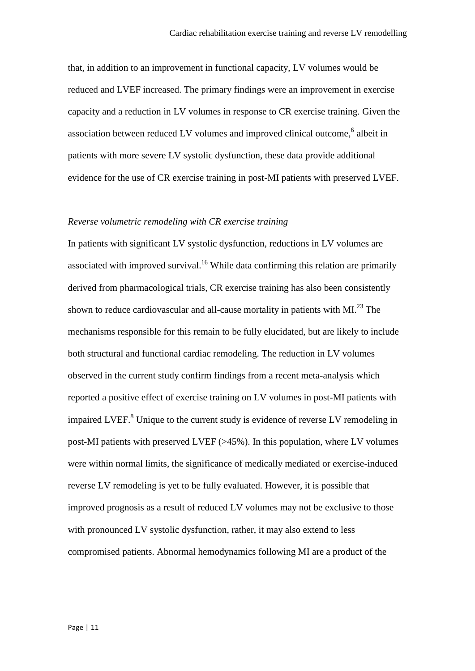that, in addition to an improvement in functional capacity, LV volumes would be reduced and LVEF increased. The primary findings were an improvement in exercise capacity and a reduction in LV volumes in response to CR exercise training. Given the association between reduced LV volumes and improved clinical outcome, 6 albeit in patients with more severe LV systolic dysfunction, these data provide additional evidence for the use of CR exercise training in post-MI patients with preserved LVEF.

#### *Reverse volumetric remodeling with CR exercise training*

In patients with significant LV systolic dysfunction, reductions in LV volumes are associated with improved survival.<sup>16</sup> While data confirming this relation are primarily derived from pharmacological trials, CR exercise training has also been consistently shown to reduce cardiovascular and all-cause mortality in patients with MI. $^{23}$  The mechanisms responsible for this remain to be fully elucidated, but are likely to include both structural and functional cardiac remodeling. The reduction in LV volumes observed in the current study confirm findings from a recent meta-analysis which reported a positive effect of exercise training on LV volumes in post-MI patients with impaired LVEF.<sup>8</sup> Unique to the current study is evidence of reverse LV remodeling in post-MI patients with preserved LVEF (>45%). In this population, where LV volumes were within normal limits, the significance of medically mediated or exercise-induced reverse LV remodeling is yet to be fully evaluated. However, it is possible that improved prognosis as a result of reduced LV volumes may not be exclusive to those with pronounced LV systolic dysfunction, rather, it may also extend to less compromised patients. Abnormal hemodynamics following MI are a product of the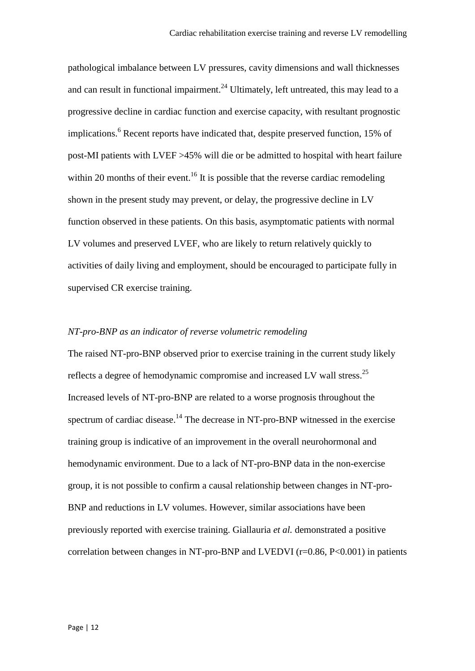pathological imbalance between LV pressures, cavity dimensions and wall thicknesses and can result in functional impairment. $^{24}$  Ultimately, left untreated, this may lead to a progressive decline in cardiac function and exercise capacity, with resultant prognostic implications.<sup>6</sup> Recent reports have indicated that, despite preserved function, 15% of post-MI patients with LVEF >45% will die or be admitted to hospital with heart failure within 20 months of their event.<sup>16</sup> It is possible that the reverse cardiac remodeling shown in the present study may prevent, or delay, the progressive decline in LV function observed in these patients. On this basis, asymptomatic patients with normal LV volumes and preserved LVEF, who are likely to return relatively quickly to activities of daily living and employment, should be encouraged to participate fully in supervised CR exercise training.

#### *NT-pro-BNP as an indicator of reverse volumetric remodeling*

The raised NT-pro-BNP observed prior to exercise training in the current study likely reflects a degree of hemodynamic compromise and increased LV wall stress.<sup>25</sup> Increased levels of NT-pro-BNP are related to a worse prognosis throughout the spectrum of cardiac disease.<sup>14</sup> The decrease in NT-pro-BNP witnessed in the exercise training group is indicative of an improvement in the overall neurohormonal and hemodynamic environment. Due to a lack of NT-pro-BNP data in the non-exercise group, it is not possible to confirm a causal relationship between changes in NT-pro-BNP and reductions in LV volumes. However, similar associations have been previously reported with exercise training. Giallauria *et al.* demonstrated a positive correlation between changes in NT-pro-BNP and LVEDVI (r=0.86, P<0.001) in patients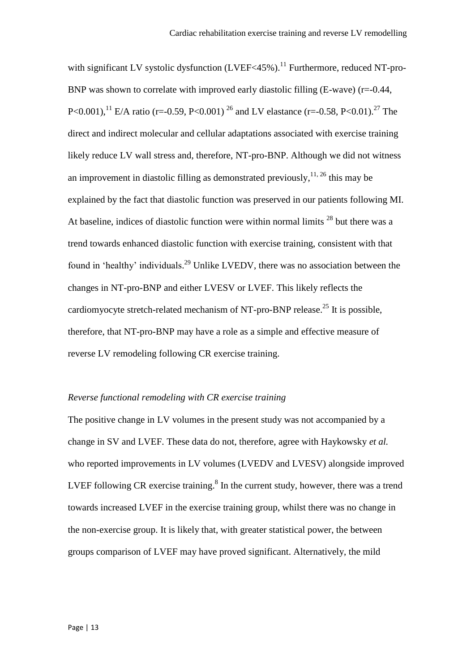with significant LV systolic dysfunction (LVEF<45%).<sup>11</sup> Furthermore, reduced NT-pro-BNP was shown to correlate with improved early diastolic filling  $(E-wave)$  (r=-0.44, P<0.001),<sup>11</sup> E/A ratio (r=-0.59, P<0.001)<sup>26</sup> and LV elastance (r=-0.58, P<0.01).<sup>27</sup> The direct and indirect molecular and cellular adaptations associated with exercise training likely reduce LV wall stress and, therefore, NT-pro-BNP. Although we did not witness an improvement in diastolic filling as demonstrated previously,  $11, 26$  this may be explained by the fact that diastolic function was preserved in our patients following MI. At baseline, indices of diastolic function were within normal limits  $^{28}$  but there was a trend towards enhanced diastolic function with exercise training, consistent with that found in 'healthy' individuals.<sup>29</sup> Unlike LVEDV, there was no association between the changes in NT-pro-BNP and either LVESV or LVEF. This likely reflects the cardiomyocyte stretch-related mechanism of NT-pro-BNP release.<sup>25</sup> It is possible, therefore, that NT-pro-BNP may have a role as a simple and effective measure of reverse LV remodeling following CR exercise training.

#### *Reverse functional remodeling with CR exercise training*

The positive change in LV volumes in the present study was not accompanied by a change in SV and LVEF. These data do not, therefore, agree with Haykowsky *et al.* who reported improvements in LV volumes (LVEDV and LVESV) alongside improved LVEF following CR exercise training. $8$  In the current study, however, there was a trend towards increased LVEF in the exercise training group, whilst there was no change in the non-exercise group. It is likely that, with greater statistical power, the between groups comparison of LVEF may have proved significant. Alternatively, the mild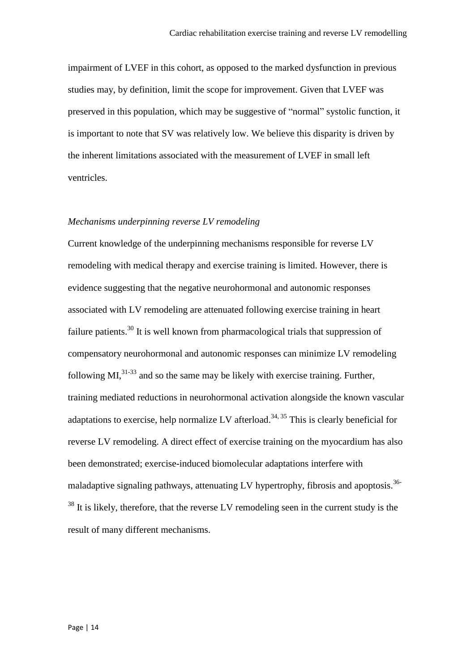impairment of LVEF in this cohort, as opposed to the marked dysfunction in previous studies may, by definition, limit the scope for improvement. Given that LVEF was preserved in this population, which may be suggestive of "normal" systolic function, it is important to note that SV was relatively low. We believe this disparity is driven by the inherent limitations associated with the measurement of LVEF in small left ventricles.

#### *Mechanisms underpinning reverse LV remodeling*

Current knowledge of the underpinning mechanisms responsible for reverse LV remodeling with medical therapy and exercise training is limited. However, there is evidence suggesting that the negative neurohormonal and autonomic responses associated with LV remodeling are attenuated following exercise training in heart failure patients.<sup>30</sup> It is well known from pharmacological trials that suppression of compensatory neurohormonal and autonomic responses can minimize LV remodeling following MI, $^{31-33}$  and so the same may be likely with exercise training. Further, training mediated reductions in neurohormonal activation alongside the known vascular adaptations to exercise, help normalize LV afterload.<sup>34, 35</sup> This is clearly beneficial for reverse LV remodeling. A direct effect of exercise training on the myocardium has also been demonstrated; exercise-induced biomolecular adaptations interfere with maladaptive signaling pathways, attenuating LV hypertrophy, fibrosis and apoptosis.<sup>36-</sup>  $38$  It is likely, therefore, that the reverse LV remodeling seen in the current study is the result of many different mechanisms.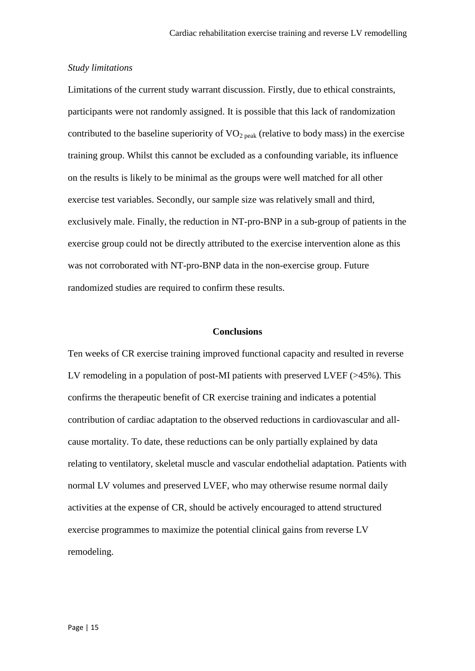#### *Study limitations*

Limitations of the current study warrant discussion. Firstly, due to ethical constraints, participants were not randomly assigned. It is possible that this lack of randomization contributed to the baseline superiority of  $VO<sub>2 peak</sub>$  (relative to body mass) in the exercise training group. Whilst this cannot be excluded as a confounding variable, its influence on the results is likely to be minimal as the groups were well matched for all other exercise test variables. Secondly, our sample size was relatively small and third, exclusively male. Finally, the reduction in NT-pro-BNP in a sub-group of patients in the exercise group could not be directly attributed to the exercise intervention alone as this was not corroborated with NT-pro-BNP data in the non-exercise group. Future randomized studies are required to confirm these results.

#### **Conclusions**

Ten weeks of CR exercise training improved functional capacity and resulted in reverse LV remodeling in a population of post-MI patients with preserved LVEF (>45%). This confirms the therapeutic benefit of CR exercise training and indicates a potential contribution of cardiac adaptation to the observed reductions in cardiovascular and allcause mortality. To date, these reductions can be only partially explained by data relating to ventilatory, skeletal muscle and vascular endothelial adaptation. Patients with normal LV volumes and preserved LVEF, who may otherwise resume normal daily activities at the expense of CR, should be actively encouraged to attend structured exercise programmes to maximize the potential clinical gains from reverse LV remodeling.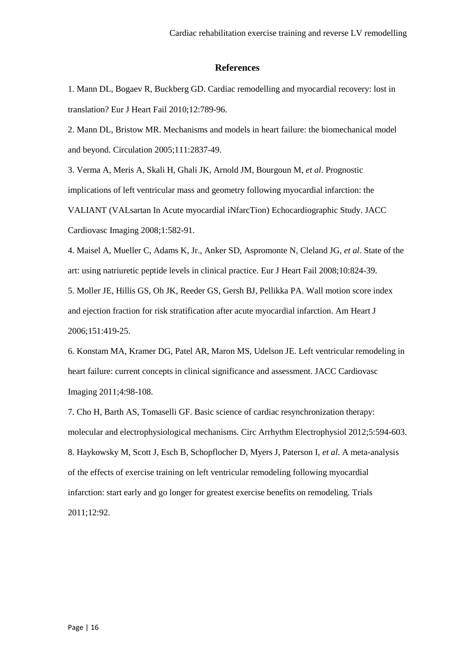#### **References**

1. Mann DL, Bogaev R, Buckberg GD. Cardiac remodelling and myocardial recovery: lost in translation? Eur J Heart Fail 2010;12:789-96.

2. Mann DL, Bristow MR. Mechanisms and models in heart failure: the biomechanical model and beyond. Circulation 2005;111:2837-49.

3. Verma A, Meris A, Skali H, Ghali JK, Arnold JM, Bourgoun M, *et al*. Prognostic implications of left ventricular mass and geometry following myocardial infarction: the VALIANT (VALsartan In Acute myocardial iNfarcTion) Echocardiographic Study. JACC Cardiovasc Imaging 2008;1:582-91.

4. Maisel A, Mueller C, Adams K, Jr., Anker SD, Aspromonte N, Cleland JG, *et al*. State of the art: using natriuretic peptide levels in clinical practice. Eur J Heart Fail 2008;10:824-39.

5. Moller JE, Hillis GS, Oh JK, Reeder GS, Gersh BJ, Pellikka PA. Wall motion score index and ejection fraction for risk stratification after acute myocardial infarction. Am Heart J 2006;151:419-25.

6. Konstam MA, Kramer DG, Patel AR, Maron MS, Udelson JE. Left ventricular remodeling in heart failure: current concepts in clinical significance and assessment. JACC Cardiovasc Imaging 2011;4:98-108.

7. Cho H, Barth AS, Tomaselli GF. Basic science of cardiac resynchronization therapy: molecular and electrophysiological mechanisms. Circ Arrhythm Electrophysiol 2012;5:594-603. 8. Haykowsky M, Scott J, Esch B, Schopflocher D, Myers J, Paterson I, *et al*. A meta-analysis of the effects of exercise training on left ventricular remodeling following myocardial infarction: start early and go longer for greatest exercise benefits on remodeling. Trials 2011;12:92.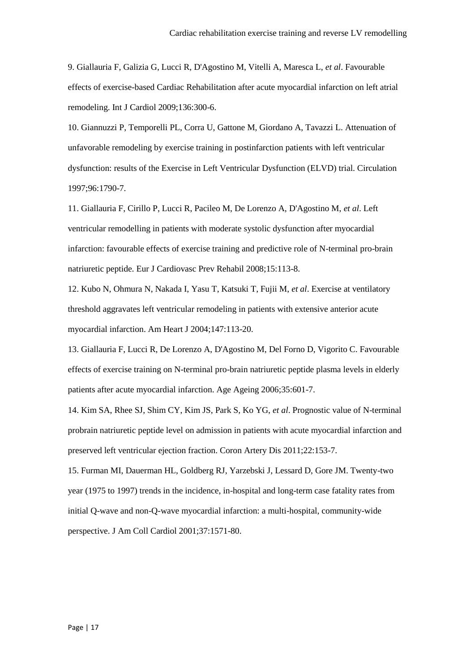9. Giallauria F, Galizia G, Lucci R, D'Agostino M, Vitelli A, Maresca L, *et al*. Favourable effects of exercise-based Cardiac Rehabilitation after acute myocardial infarction on left atrial remodeling. Int J Cardiol 2009;136:300-6.

10. Giannuzzi P, Temporelli PL, Corra U, Gattone M, Giordano A, Tavazzi L. Attenuation of unfavorable remodeling by exercise training in postinfarction patients with left ventricular dysfunction: results of the Exercise in Left Ventricular Dysfunction (ELVD) trial. Circulation 1997;96:1790-7.

11. Giallauria F, Cirillo P, Lucci R, Pacileo M, De Lorenzo A, D'Agostino M, *et al*. Left ventricular remodelling in patients with moderate systolic dysfunction after myocardial infarction: favourable effects of exercise training and predictive role of N-terminal pro-brain natriuretic peptide. Eur J Cardiovasc Prev Rehabil 2008;15:113-8.

12. Kubo N, Ohmura N, Nakada I, Yasu T, Katsuki T, Fujii M, *et al*. Exercise at ventilatory threshold aggravates left ventricular remodeling in patients with extensive anterior acute myocardial infarction. Am Heart J 2004;147:113-20.

13. Giallauria F, Lucci R, De Lorenzo A, D'Agostino M, Del Forno D, Vigorito C. Favourable effects of exercise training on N-terminal pro-brain natriuretic peptide plasma levels in elderly patients after acute myocardial infarction. Age Ageing 2006;35:601-7.

14. Kim SA, Rhee SJ, Shim CY, Kim JS, Park S, Ko YG, *et al*. Prognostic value of N-terminal probrain natriuretic peptide level on admission in patients with acute myocardial infarction and preserved left ventricular ejection fraction. Coron Artery Dis 2011;22:153-7.

15. Furman MI, Dauerman HL, Goldberg RJ, Yarzebski J, Lessard D, Gore JM. Twenty-two year (1975 to 1997) trends in the incidence, in-hospital and long-term case fatality rates from initial Q-wave and non-Q-wave myocardial infarction: a multi-hospital, community-wide perspective. J Am Coll Cardiol 2001;37:1571-80.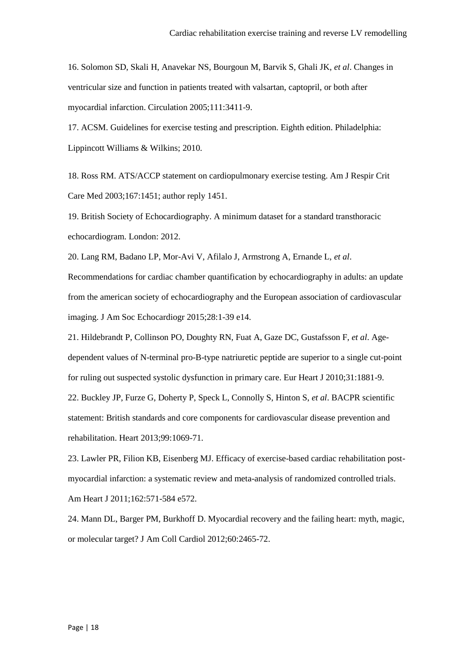16. Solomon SD, Skali H, Anavekar NS, Bourgoun M, Barvik S, Ghali JK, *et al*. Changes in ventricular size and function in patients treated with valsartan, captopril, or both after myocardial infarction. Circulation 2005;111:3411-9.

17. ACSM. Guidelines for exercise testing and prescription. Eighth edition. Philadelphia: Lippincott Williams & Wilkins; 2010.

18. Ross RM. ATS/ACCP statement on cardiopulmonary exercise testing. Am J Respir Crit Care Med 2003;167:1451; author reply 1451.

19. British Society of Echocardiography. A minimum dataset for a standard transthoracic echocardiogram. London: 2012.

20. Lang RM, Badano LP, Mor-Avi V, Afilalo J, Armstrong A, Ernande L, *et al*. Recommendations for cardiac chamber quantification by echocardiography in adults: an update from the american society of echocardiography and the European association of cardiovascular imaging. J Am Soc Echocardiogr 2015;28:1-39 e14.

21. Hildebrandt P, Collinson PO, Doughty RN, Fuat A, Gaze DC, Gustafsson F, *et al*. Agedependent values of N-terminal pro-B-type natriuretic peptide are superior to a single cut-point for ruling out suspected systolic dysfunction in primary care. Eur Heart J 2010;31:1881-9.

22. Buckley JP, Furze G, Doherty P, Speck L, Connolly S, Hinton S, *et al*. BACPR scientific statement: British standards and core components for cardiovascular disease prevention and rehabilitation. Heart 2013;99:1069-71.

23. Lawler PR, Filion KB, Eisenberg MJ. Efficacy of exercise-based cardiac rehabilitation postmyocardial infarction: a systematic review and meta-analysis of randomized controlled trials. Am Heart J 2011;162:571-584 e572.

24. Mann DL, Barger PM, Burkhoff D. Myocardial recovery and the failing heart: myth, magic, or molecular target? J Am Coll Cardiol 2012;60:2465-72.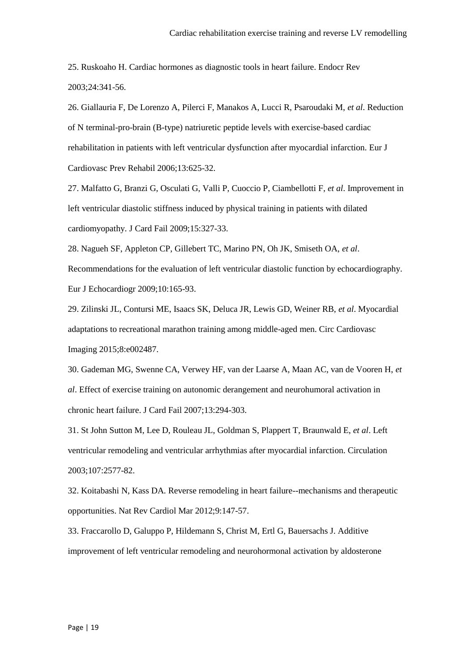25. Ruskoaho H. Cardiac hormones as diagnostic tools in heart failure. Endocr Rev 2003;24:341-56.

26. Giallauria F, De Lorenzo A, Pilerci F, Manakos A, Lucci R, Psaroudaki M, *et al*. Reduction of N terminal-pro-brain (B-type) natriuretic peptide levels with exercise-based cardiac rehabilitation in patients with left ventricular dysfunction after myocardial infarction. Eur J Cardiovasc Prev Rehabil 2006;13:625-32.

27. Malfatto G, Branzi G, Osculati G, Valli P, Cuoccio P, Ciambellotti F, *et al*. Improvement in left ventricular diastolic stiffness induced by physical training in patients with dilated cardiomyopathy. J Card Fail 2009;15:327-33.

28. Nagueh SF, Appleton CP, Gillebert TC, Marino PN, Oh JK, Smiseth OA, *et al*.

Recommendations for the evaluation of left ventricular diastolic function by echocardiography. Eur J Echocardiogr 2009;10:165-93.

29. Zilinski JL, Contursi ME, Isaacs SK, Deluca JR, Lewis GD, Weiner RB, *et al*. Myocardial adaptations to recreational marathon training among middle-aged men. Circ Cardiovasc Imaging 2015;8:e002487.

30. Gademan MG, Swenne CA, Verwey HF, van der Laarse A, Maan AC, van de Vooren H, *et al*. Effect of exercise training on autonomic derangement and neurohumoral activation in chronic heart failure. J Card Fail 2007;13:294-303.

31. St John Sutton M, Lee D, Rouleau JL, Goldman S, Plappert T, Braunwald E, *et al*. Left ventricular remodeling and ventricular arrhythmias after myocardial infarction. Circulation 2003;107:2577-82.

32. Koitabashi N, Kass DA. Reverse remodeling in heart failure--mechanisms and therapeutic opportunities. Nat Rev Cardiol Mar 2012;9:147-57.

33. Fraccarollo D, Galuppo P, Hildemann S, Christ M, Ertl G, Bauersachs J. Additive improvement of left ventricular remodeling and neurohormonal activation by aldosterone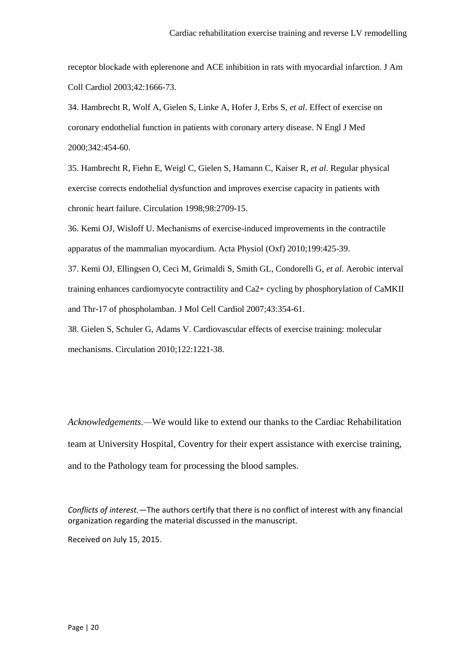receptor blockade with eplerenone and ACE inhibition in rats with myocardial infarction. J Am Coll Cardiol 2003;42:1666-73.

34. Hambrecht R, Wolf A, Gielen S, Linke A, Hofer J, Erbs S, *et al*. Effect of exercise on coronary endothelial function in patients with coronary artery disease. N Engl J Med 2000;342:454-60.

35. Hambrecht R, Fiehn E, Weigl C, Gielen S, Hamann C, Kaiser R, *et al*. Regular physical exercise corrects endothelial dysfunction and improves exercise capacity in patients with chronic heart failure. Circulation 1998;98:2709-15.

36. Kemi OJ, Wisloff U. Mechanisms of exercise-induced improvements in the contractile apparatus of the mammalian myocardium. Acta Physiol (Oxf) 2010;199:425-39.

37. Kemi OJ, Ellingsen O, Ceci M, Grimaldi S, Smith GL, Condorelli G, *et al*. Aerobic interval training enhances cardiomyocyte contractility and Ca2+ cycling by phosphorylation of CaMKII and Thr-17 of phospholamban. J Mol Cell Cardiol 2007;43:354-61.

38. Gielen S, Schuler G, Adams V. Cardiovascular effects of exercise training: molecular mechanisms. Circulation 2010;122:1221-38.

*Acknowledgements.—*We would like to extend our thanks to the Cardiac Rehabilitation team at University Hospital, Coventry for their expert assistance with exercise training, and to the Pathology team for processing the blood samples.

*Conflicts of interest.—*The authors certify that there is no conflict of interest with any financial organization regarding the material discussed in the manuscript.

Received on July 15, 2015.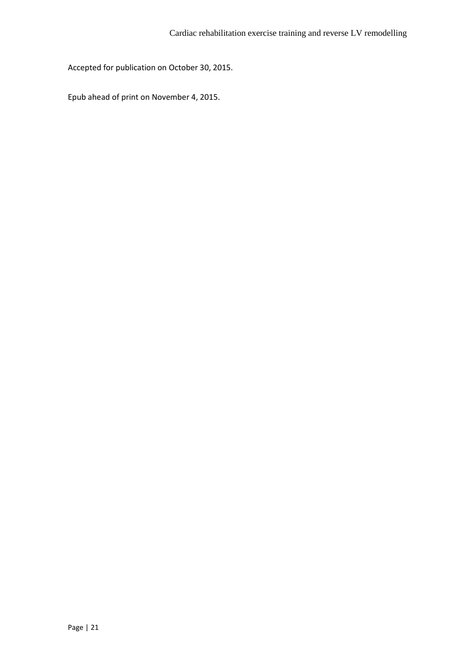Accepted for publication on October 30, 2015.

Epub ahead of print on November 4, 2015.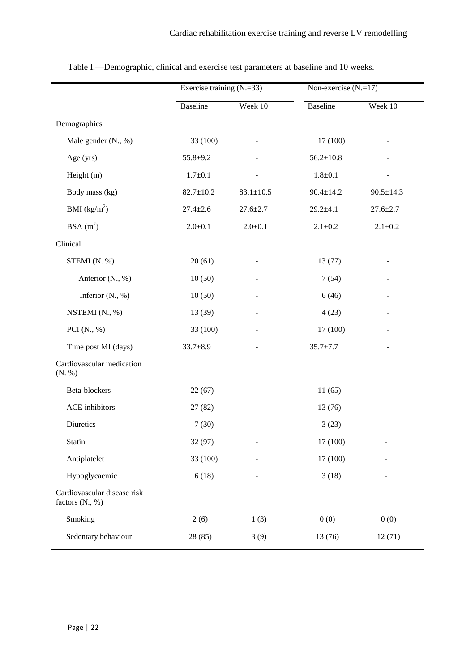|                                                | Exercise training $(N=33)$ |                 | Non-exercise $(N=17)$ |                 |  |
|------------------------------------------------|----------------------------|-----------------|-----------------------|-----------------|--|
|                                                | <b>Baseline</b>            | Week 10         | <b>Baseline</b>       | Week 10         |  |
| Demographics                                   |                            |                 |                       |                 |  |
| Male gender (N., %)                            | 33 (100)                   |                 | 17(100)               |                 |  |
| Age (yrs)                                      | $55.8 + 9.2$               |                 | $56.2 \pm 10.8$       |                 |  |
| Height (m)                                     | $1.7 \pm 0.1$              |                 | $1.8 + 0.1$           |                 |  |
| Body mass (kg)                                 | $82.7 \pm 10.2$            | $83.1 \pm 10.5$ | $90.4 \pm 14.2$       | $90.5 \pm 14.3$ |  |
| BMI $(kg/m^2)$                                 | $27.4 \pm 2.6$             | $27.6 \pm 2.7$  | $29.2 + 4.1$          | $27.6 \pm 2.7$  |  |
| $BSA(m^2)$                                     | $2.0 \pm 0.1$              | $2.0 + 0.1$     | $2.1 \pm 0.2$         | $2.1 \pm 0.2$   |  |
| Clinical                                       |                            |                 |                       |                 |  |
| STEMI (N. %)                                   | 20(61)                     |                 | 13(77)                |                 |  |
| Anterior (N., %)                               | 10(50)                     |                 | 7(54)                 |                 |  |
| Inferior $(N., %)$                             | 10(50)                     |                 | 6(46)                 |                 |  |
| NSTEMI (N., %)                                 | 13 (39)                    |                 | 4(23)                 |                 |  |
| PCI $(N., %)$                                  | 33 (100)                   |                 | 17 (100)              |                 |  |
| Time post MI (days)                            | $33.7 \pm 8.9$             |                 | $35.7 \pm 7.7$        |                 |  |
| Cardiovascular medication<br>(N. %)            |                            |                 |                       |                 |  |
| Beta-blockers                                  | 22(67)                     |                 | 11(65)                |                 |  |
| <b>ACE</b> inhibitors                          | 27(82)                     |                 | 13(76)                |                 |  |
| Diuretics                                      | 7(30)                      |                 | 3(23)                 |                 |  |
| Statin                                         | 32 (97)                    | -               | 17 (100)              | ÷,              |  |
| Antiplatelet                                   | 33 (100)                   |                 | 17 (100)              |                 |  |
| Hypoglycaemic                                  | 6(18)                      |                 | 3(18)                 |                 |  |
| Cardiovascular disease risk<br>factors (N., %) |                            |                 |                       |                 |  |
| Smoking                                        | 2(6)                       | 1(3)            | 0(0)                  | 0(0)            |  |
| Sedentary behaviour                            | 28 (85)                    | 3(9)            | 13(76)                | 12(71)          |  |

Table I.—Demographic, clinical and exercise test parameters at baseline and 10 weeks.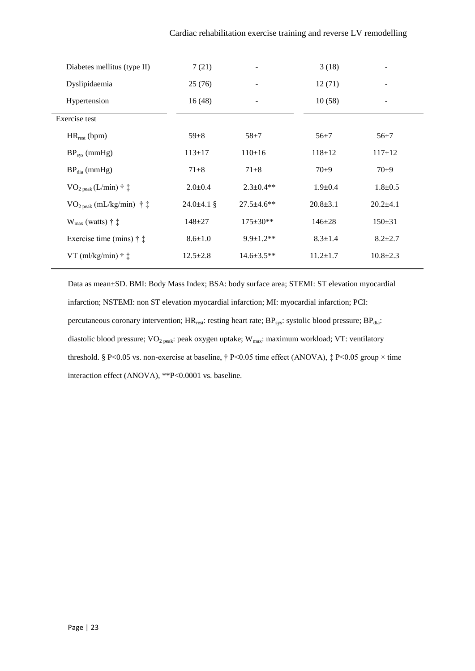| Diabetes mellitus (type II)             | 7(21)            |                   | 3(18)          |                |
|-----------------------------------------|------------------|-------------------|----------------|----------------|
| Dyslipidaemia                           | 25(76)           |                   | 12(71)         |                |
| Hypertension                            | 16(48)           |                   | 10(58)         |                |
| Exercise test                           |                  |                   |                |                |
| $HR_{rest}$ (bpm)                       | $59 \pm 8$       | $58 + 7$          | $56 + 7$       | $56 \pm 7$     |
| $BP_{sys}$ (mmHg)                       | $113 \pm 17$     | $110 \pm 16$      | $118 \pm 12$   | $117 \pm 12$   |
| $BPdia$ (mmHg)                          | $71 \pm 8$       | $71 + 8$          | $70\pm9$       | $70\pm9$       |
| $VO2 peak (L/min)$ † $\ddagger$         | $2.0 \pm 0.4$    | $2.3 \pm 0.4**$   | $1.9 \pm 0.4$  | $1.8 + 0.5$    |
| $VO2 peak (mL/kg/min)$ † $\ddagger$     | $24.0 \pm 4.1$ § | $27.5 \pm 4.6$ ** | $20.8 \pm 3.1$ | $20.2+4.1$     |
| $W_{\text{max}}$ (watts) † $\ddagger$   | $148 + 27$       | $175 \pm 30**$    | $146 \pm 28$   | $150 \pm 31$   |
| Exercise time (mins) $\dagger \ddagger$ | $8.6 \pm 1.0$    | $9.9 \pm 1.2$ **  | $8.3 \pm 1.4$  | $8.2 \pm 2.7$  |
| VT (ml/kg/min) $\dagger$ $\dagger$      | $12.5 \pm 2.8$   | $14.6 \pm 3.5**$  | $11.2 \pm 1.7$ | $10.8 \pm 2.3$ |

Data as mean±SD. BMI: Body Mass Index; BSA: body surface area; STEMI: ST elevation myocardial infarction; NSTEMI: non ST elevation myocardial infarction; MI: myocardial infarction; PCI: percutaneous coronary intervention; HR<sub>rest</sub>: resting heart rate; BP<sub>sys</sub>: systolic blood pressure; BP<sub>dia</sub>: diastolic blood pressure;  $VO_{2\text{ peak}}$ : peak oxygen uptake;  $W_{\text{max}}$ : maximum workload; VT: ventilatory threshold. § P<0.05 vs. non-exercise at baseline, † P<0.05 time effect (ANOVA), ‡ P<0.05 group × time interaction effect (ANOVA), \*\*P<0.0001 vs. baseline.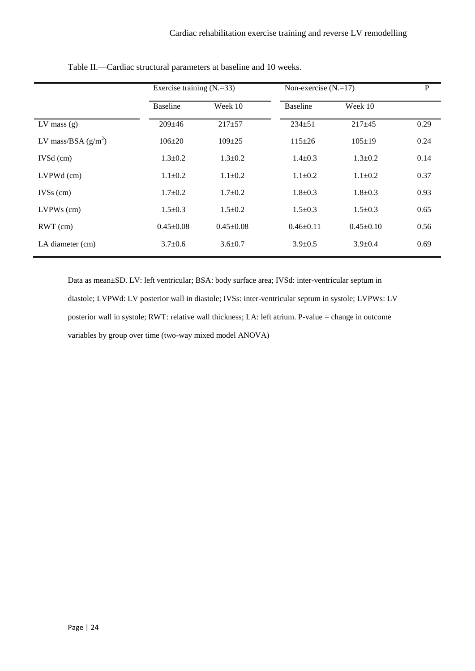|                       |                 | Exercise training $(N=33)$ |                 | Non-exercise $(N=17)$ |      |
|-----------------------|-----------------|----------------------------|-----------------|-----------------------|------|
|                       | <b>Baseline</b> | Week 10                    | <b>Baseline</b> | Week 10               |      |
| $LV$ mass $(g)$       | $209 \pm 46$    | $217+57$                   | $234 + 51$      | $217+45$              | 0.29 |
| LV mass/BSA $(g/m^2)$ | $106 \pm 20$    | $109 \pm 25$               | $115 \pm 26$    | $105 \pm 19$          | 0.24 |
| $IVSd$ (cm)           | $1.3 \pm 0.2$   | $1.3 \pm 0.2$              | $1.4 \pm 0.3$   | $1.3 \pm 0.2$         | 0.14 |
| LVPWd (cm)            | $1.1 \pm 0.2$   | $1.1 \pm 0.2$              | $1.1 \pm 0.2$   | $1.1 + 0.2$           | 0.37 |
| $IVSs$ (cm)           | $1.7 \pm 0.2$   | $1.7 \pm 0.2$              | $1.8 \pm 0.3$   | $1.8 \pm 0.3$         | 0.93 |
| $LVPWs$ (cm)          | $1.5 \pm 0.3$   | $1.5 \pm 0.2$              | $1.5 \pm 0.3$   | $1.5+0.3$             | 0.65 |
| $RWT$ (cm)            | $0.45 \pm 0.08$ | $0.45 \pm 0.08$            | $0.46 \pm 0.11$ | $0.45 \pm 0.10$       | 0.56 |
| LA diameter (cm)      | $3.7 \pm 0.6$   | $3.6 \pm 0.7$              | $3.9 \pm 0.5$   | $3.9 \pm 0.4$         | 0.69 |

Table II.—Cardiac structural parameters at baseline and 10 weeks.

Data as mean±SD. LV: left ventricular; BSA: body surface area; IVSd: inter-ventricular septum in diastole; LVPWd: LV posterior wall in diastole; IVSs: inter-ventricular septum in systole; LVPWs: LV posterior wall in systole; RWT: relative wall thickness; LA: left atrium. P-value = change in outcome variables by group over time (two-way mixed model ANOVA)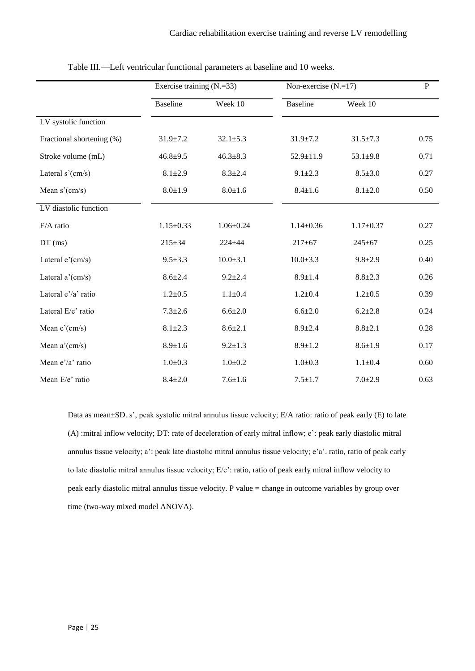|                           |                 | Exercise training $(N=33)$ |                 | Non-exercise $(N=17)$ |      |
|---------------------------|-----------------|----------------------------|-----------------|-----------------------|------|
|                           | <b>Baseline</b> | Week 10                    | <b>Baseline</b> | Week 10               |      |
| LV systolic function      |                 |                            |                 |                       |      |
| Fractional shortening (%) | $31.9 \pm 7.2$  | $32.1 \pm 5.3$             | $31.9 \pm 7.2$  | $31.5 \pm 7.3$        | 0.75 |
| Stroke volume (mL)        | $46.8 + 9.5$    | $46.3 \pm 8.3$             | 52.9±11.9       | $53.1 \pm 9.8$        | 0.71 |
| Lateral $s'(cm/s)$        | $8.1 \pm 2.9$   | $8.3 \pm 2.4$              | $9.1 \pm 2.3$   | $8.5 \pm 3.0$         | 0.27 |
| Mean $s'(cm/s)$           | $8.0 \pm 1.9$   | $8.0 + 1.6$                | $8.4 \pm 1.6$   | $8.1 \pm 2.0$         | 0.50 |
| LV diastolic function     |                 |                            |                 |                       |      |
| $E/A$ ratio               | $1.15 \pm 0.33$ | $1.06 \pm 0.24$            | $1.14 \pm 0.36$ | $1.17 \pm 0.37$       | 0.27 |
| $DT$ (ms)                 | $215 \pm 34$    | $224 + 44$                 | $217 + 67$      | $245 + 67$            | 0.25 |
| Lateral $e'(cm/s)$        | $9.5 \pm 3.3$   | $10.0 + 3.1$               | $10.0 \pm 3.3$  | $9.8 + 2.9$           | 0.40 |
| Lateral a'(cm/s)          | $8.6 \pm 2.4$   | $9.2 \pm 2.4$              | $8.9 \pm 1.4$   | $8.8 + 2.3$           | 0.26 |
| Lateral e'/a' ratio       | $1.2 \pm 0.5$   | $1.1 + 0.4$                | $1.2 + 0.4$     | $1.2 \pm 0.5$         | 0.39 |
| Lateral E/e' ratio        | $7.3 \pm 2.6$   | $6.6{\pm}2.0$              | $6.6{\pm}2.0$   | $6.2 \pm 2.8$         | 0.24 |
| Mean $e'(cm/s)$           | $8.1 \pm 2.3$   | $8.6{\pm}2.1$              | $8.9 \pm 2.4$   | $8.8 + 2.1$           | 0.28 |
| Mean $a'(cm/s)$           | $8.9 \pm 1.6$   | $9.2 \pm 1.3$              | $8.9 \pm 1.2$   | $8.6 \pm 1.9$         | 0.17 |
| Mean e'/a' ratio          | $1.0 + 0.3$     | $1.0 + 0.2$                | $1.0 + 0.3$     | $1.1 \pm 0.4$         | 0.60 |
| Mean E/e' ratio           | $8.4 + 2.0$     | $7.6 + 1.6$                | $7.5 \pm 1.7$   | $7.0 + 2.9$           | 0.63 |

Table III.—Left ventricular functional parameters at baseline and 10 weeks.

Data as mean±SD. s', peak systolic mitral annulus tissue velocity; E/A ratio: ratio of peak early (E) to late (A) :mitral inflow velocity; DT: rate of deceleration of early mitral inflow; e': peak early diastolic mitral annulus tissue velocity; a': peak late diastolic mitral annulus tissue velocity; e'a'. ratio, ratio of peak early to late diastolic mitral annulus tissue velocity; E/e': ratio, ratio of peak early mitral inflow velocity to peak early diastolic mitral annulus tissue velocity. P value = change in outcome variables by group over time (two-way mixed model ANOVA).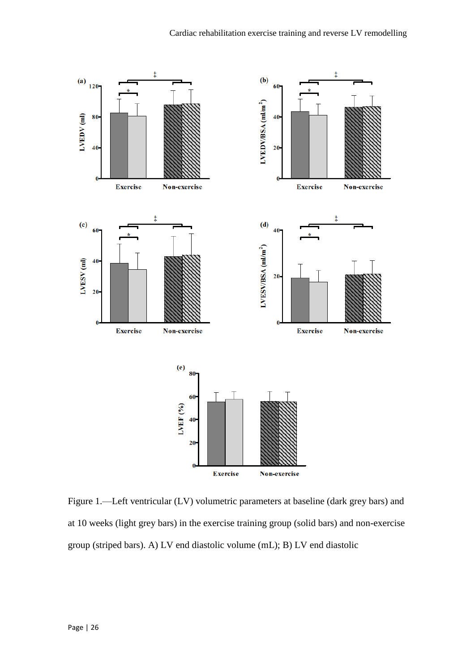

Figure 1.—Left ventricular (LV) volumetric parameters at baseline (dark grey bars) and at 10 weeks (light grey bars) in the exercise training group (solid bars) and non-exercise group (striped bars). A) LV end diastolic volume (mL); B) LV end diastolic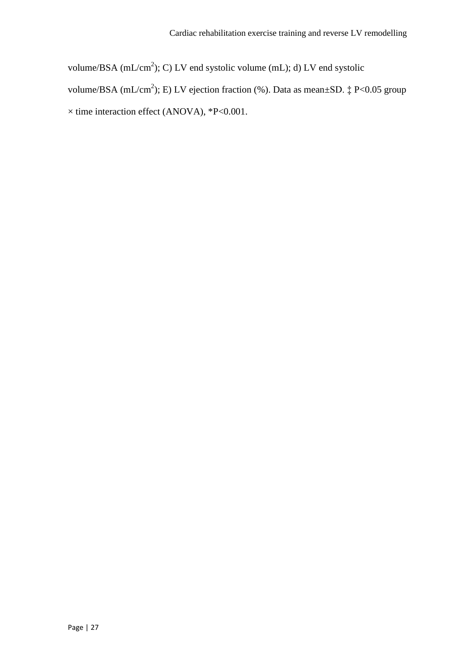volume/BSA  $(mL/cm<sup>2</sup>)$ ; C) LV end systolic volume  $(mL)$ ; d) LV end systolic volume/BSA (mL/cm<sup>2</sup>); E) LV ejection fraction (%). Data as mean $\pm$ SD.  $\ddagger$  P<0.05 group  $\times$  time interaction effect (ANOVA), \*P<0.001.